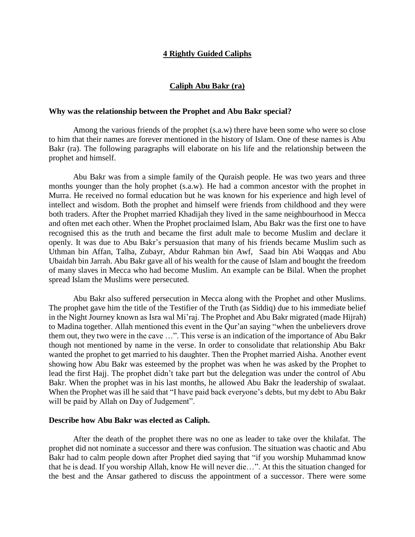### **4 Rightly Guided Caliphs**

### **Caliph Abu Bakr (ra)**

#### **Why was the relationship between the Prophet and Abu Bakr special?**

Among the various friends of the prophet (s.a.w) there have been some who were so close to him that their names are forever mentioned in the history of Islam. One of these names is Abu Bakr (ra). The following paragraphs will elaborate on his life and the relationship between the prophet and himself.

Abu Bakr was from a simple family of the Quraish people. He was two years and three months younger than the holy prophet (s.a.w). He had a common ancestor with the prophet in Murra. He received no formal education but he was known for his experience and high level of intellect and wisdom. Both the prophet and himself were friends from childhood and they were both traders. After the Prophet married Khadijah they lived in the same neighbourhood in Mecca and often met each other. When the Prophet proclaimed Islam, Abu Bakr was the first one to have recognised this as the truth and became the first adult male to become Muslim and declare it openly. It was due to Abu Bakr's persuasion that many of his friends became Muslim such as Uthman bin Affan, Talha, Zubayr, Abdur Rahman bin Awf, Saad bin Abi Waqqas and Abu Ubaidah bin Jarrah. Abu Bakr gave all of his wealth for the cause of Islam and bought the freedom of many slaves in Mecca who had become Muslim. An example can be Bilal. When the prophet spread Islam the Muslims were persecuted.

Abu Bakr also suffered persecution in Mecca along with the Prophet and other Muslims. The prophet gave him the title of the Testifier of the Truth (as Siddiq) due to his immediate belief in the Night Journey known as Isra wal Mi'raj. The Prophet and Abu Bakr migrated (made Hijrah) to Madina together. Allah mentioned this event in the Qur'an saying "when the unbelievers drove them out, they two were in the cave …". This verse is an indication of the importance of Abu Bakr though not mentioned by name in the verse. In order to consolidate that relationship Abu Bakr wanted the prophet to get married to his daughter. Then the Prophet married Aisha. Another event showing how Abu Bakr was esteemed by the prophet was when he was asked by the Prophet to lead the first Hajj. The prophet didn't take part but the delegation was under the control of Abu Bakr. When the prophet was in his last months, he allowed Abu Bakr the leadership of swalaat. When the Prophet was ill he said that "I have paid back everyone's debts, but my debt to Abu Bakr will be paid by Allah on Day of Judgement".

#### **Describe how Abu Bakr was elected as Caliph.**

After the death of the prophet there was no one as leader to take over the khilafat. The prophet did not nominate a successor and there was confusion. The situation was chaotic and Abu Bakr had to calm people down after Prophet died saying that "if you worship Muhammad know that he is dead. If you worship Allah, know He will never die…". At this the situation changed for the best and the Ansar gathered to discuss the appointment of a successor. There were some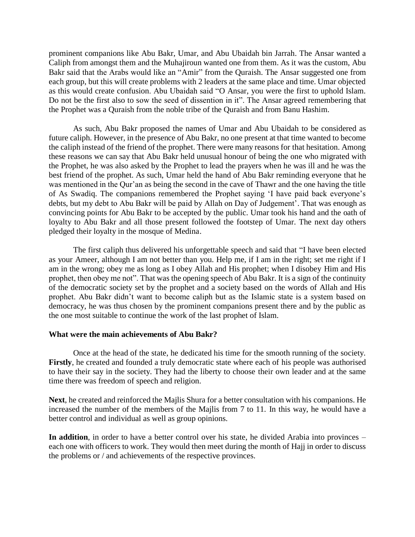prominent companions like Abu Bakr, Umar, and Abu Ubaidah bin Jarrah. The Ansar wanted a Caliph from amongst them and the Muhajiroun wanted one from them. As it was the custom, Abu Bakr said that the Arabs would like an "Amir" from the Quraish. The Ansar suggested one from each group, but this will create problems with 2 leaders at the same place and time. Umar objected as this would create confusion. Abu Ubaidah said "O Ansar, you were the first to uphold Islam. Do not be the first also to sow the seed of dissention in it". The Ansar agreed remembering that the Prophet was a Quraish from the noble tribe of the Quraish and from Banu Hashim.

As such, Abu Bakr proposed the names of Umar and Abu Ubaidah to be considered as future caliph. However, in the presence of Abu Bakr, no one present at that time wanted to become the caliph instead of the friend of the prophet. There were many reasons for that hesitation. Among these reasons we can say that Abu Bakr held unusual honour of being the one who migrated with the Prophet, he was also asked by the Prophet to lead the prayers when he was ill and he was the best friend of the prophet. As such, Umar held the hand of Abu Bakr reminding everyone that he was mentioned in the Qur'an as being the second in the cave of Thawr and the one having the title of As Swadiq. The companions remembered the Prophet saying 'I have paid back everyone's debts, but my debt to Abu Bakr will be paid by Allah on Day of Judgement'. That was enough as convincing points for Abu Bakr to be accepted by the public. Umar took his hand and the oath of loyalty to Abu Bakr and all those present followed the footstep of Umar. The next day others pledged their loyalty in the mosque of Medina.

The first caliph thus delivered his unforgettable speech and said that "I have been elected as your Ameer, although I am not better than you. Help me, if I am in the right; set me right if I am in the wrong; obey me as long as I obey Allah and His prophet; when I disobey Him and His prophet, then obey me not". That was the opening speech of Abu Bakr. It is a sign of the continuity of the democratic society set by the prophet and a society based on the words of Allah and His prophet. Abu Bakr didn't want to become caliph but as the Islamic state is a system based on democracy, he was thus chosen by the prominent companions present there and by the public as the one most suitable to continue the work of the last prophet of Islam.

#### **What were the main achievements of Abu Bakr?**

Once at the head of the state, he dedicated his time for the smooth running of the society. **Firstly**, he created and founded a truly democratic state where each of his people was authorised to have their say in the society. They had the liberty to choose their own leader and at the same time there was freedom of speech and religion.

**Next**, he created and reinforced the Majlis Shura for a better consultation with his companions. He increased the number of the members of the Majlis from 7 to 11. In this way, he would have a better control and individual as well as group opinions.

**In addition**, in order to have a better control over his state, he divided Arabia into provinces – each one with officers to work. They would then meet during the month of Hajj in order to discuss the problems or / and achievements of the respective provinces.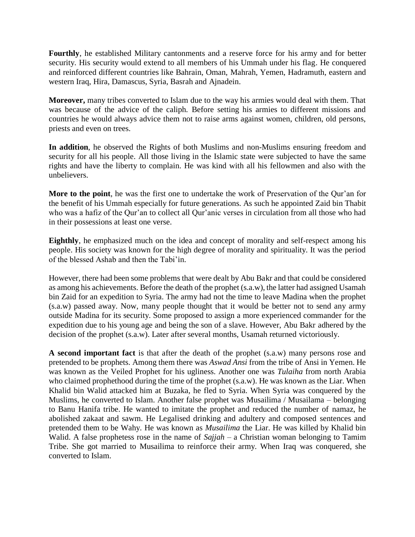**Fourthly**, he established Military cantonments and a reserve force for his army and for better security. His security would extend to all members of his Ummah under his flag. He conquered and reinforced different countries like Bahrain, Oman, Mahrah, Yemen, Hadramuth, eastern and western Iraq, Hira, Damascus, Syria, Basrah and Ajnadein.

**Moreover,** many tribes converted to Islam due to the way his armies would deal with them. That was because of the advice of the caliph. Before setting his armies to different missions and countries he would always advice them not to raise arms against women, children, old persons, priests and even on trees.

**In addition**, he observed the Rights of both Muslims and non-Muslims ensuring freedom and security for all his people. All those living in the Islamic state were subjected to have the same rights and have the liberty to complain. He was kind with all his fellowmen and also with the unbelievers.

**More to the point**, he was the first one to undertake the work of Preservation of the Qur'an for the benefit of his Ummah especially for future generations. As such he appointed Zaid bin Thabit who was a hafiz of the Qur'an to collect all Qur'anic verses in circulation from all those who had in their possessions at least one verse.

**Eighthly**, he emphasized much on the idea and concept of morality and self-respect among his people. His society was known for the high degree of morality and spirituality. It was the period of the blessed Ashab and then the Tabi'in.

However, there had been some problems that were dealt by Abu Bakr and that could be considered as among his achievements. Before the death of the prophet (s.a.w), the latter had assigned Usamah bin Zaid for an expedition to Syria. The army had not the time to leave Madina when the prophet (s.a.w) passed away. Now, many people thought that it would be better not to send any army outside Madina for its security. Some proposed to assign a more experienced commander for the expedition due to his young age and being the son of a slave. However, Abu Bakr adhered by the decision of the prophet (s.a.w). Later after several months, Usamah returned victoriously.

**A second important fact** is that after the death of the prophet (s.a.w) many persons rose and pretended to be prophets. Among them there was *Aswad Ansi* from the tribe of Ansi in Yemen. He was known as the Veiled Prophet for his ugliness. Another one was *Tulaiha* from north Arabia who claimed prophethood during the time of the prophet (s.a.w). He was known as the Liar. When Khalid bin Walid attacked him at Buzaka, he fled to Syria. When Syria was conquered by the Muslims, he converted to Islam. Another false prophet was Musailima / Musailama – belonging to Banu Hanifa tribe. He wanted to imitate the prophet and reduced the number of namaz, he abolished zakaat and sawm. He Legalised drinking and adultery and composed sentences and pretended them to be Wahy. He was known as *Musailima* the Liar. He was killed by Khalid bin Walid. A false prophetess rose in the name of *Sajjah* – a Christian woman belonging to Tamim Tribe. She got married to Musailima to reinforce their army. When Iraq was conquered, she converted to Islam.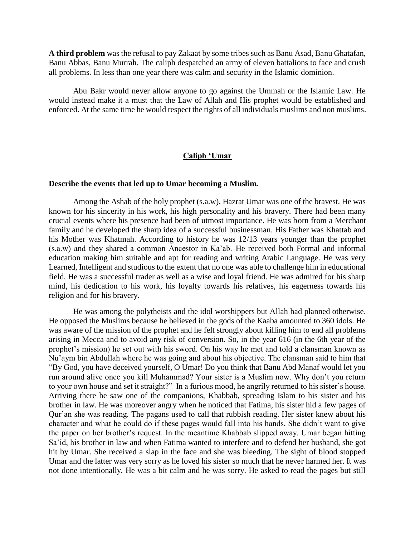**A third problem** was the refusal to pay Zakaat by some tribes such as Banu Asad, Banu Ghatafan, Banu Abbas, Banu Murrah. The caliph despatched an army of eleven battalions to face and crush all problems. In less than one year there was calm and security in the Islamic dominion.

Abu Bakr would never allow anyone to go against the Ummah or the Islamic Law. He would instead make it a must that the Law of Allah and His prophet would be established and enforced. At the same time he would respect the rights of all individuals muslims and non muslims.

#### **Caliph 'Umar**

#### **Describe the events that led up to Umar becoming a Muslim.**

Among the Ashab of the holy prophet (s.a.w), Hazrat Umar was one of the bravest. He was known for his sincerity in his work, his high personality and his bravery. There had been many crucial events where his presence had been of utmost importance. He was born from a Merchant family and he developed the sharp idea of a successful businessman. His Father was Khattab and his Mother was Khatmah. According to history he was 12/13 years younger than the prophet (s.a.w) and they shared a common Ancestor in Ka'ab. He received both Formal and informal education making him suitable and apt for reading and writing Arabic Language. He was very Learned, Intelligent and studious to the extent that no one was able to challenge him in educational field. He was a successful trader as well as a wise and loyal friend. He was admired for his sharp mind, his dedication to his work, his loyalty towards his relatives, his eagerness towards his religion and for his bravery.

He was among the polytheists and the idol worshippers but Allah had planned otherwise. He opposed the Muslims because he believed in the gods of the Kaaba amounted to 360 idols. He was aware of the mission of the prophet and he felt strongly about killing him to end all problems arising in Mecca and to avoid any risk of conversion. So, in the year 616 (in the 6th year of the prophet's mission) he set out with his sword. On his way he met and told a clansman known as Nu'aym bin Abdullah where he was going and about his objective. The clansman said to him that "By God, you have deceived yourself, O Umar! Do you think that Banu Abd Manaf would let you run around alive once you kill Muhammad? Your sister is a Muslim now. Why don't you return to your own house and set it straight?" In a furious mood, he angrily returned to his sister's house. Arriving there he saw one of the companions, Khabbab, spreading Islam to his sister and his brother in law. He was moreover angry when he noticed that Fatima, his sister hid a few pages of Qur'an she was reading. The pagans used to call that rubbish reading. Her sister knew about his character and what he could do if these pages would fall into his hands. She didn't want to give the paper on her brother's request. In the meantime Khabbab slipped away. Umar began hitting Sa'id, his brother in law and when Fatima wanted to interfere and to defend her husband, she got hit by Umar. She received a slap in the face and she was bleeding. The sight of blood stopped Umar and the latter was very sorry as he loved his sister so much that he never harmed her. It was not done intentionally. He was a bit calm and he was sorry. He asked to read the pages but still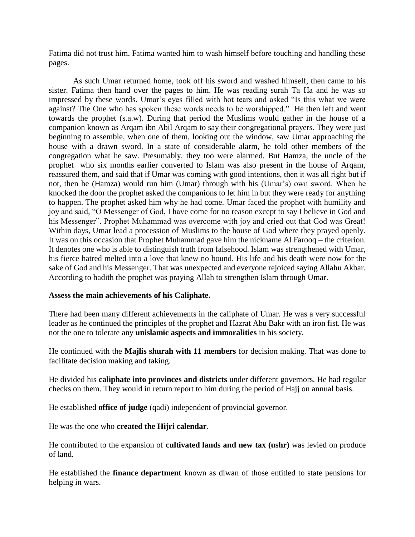Fatima did not trust him. Fatima wanted him to wash himself before touching and handling these pages.

As such Umar returned home, took off his sword and washed himself, then came to his sister. Fatima then hand over the pages to him. He was reading surah Ta Ha and he was so impressed by these words. Umar's eyes filled with hot tears and asked "Is this what we were against? The One who has spoken these words needs to be worshipped." He then left and went towards the prophet (s.a.w). During that period the Muslims would gather in the house of a companion known as Arqam ibn Abil Arqam to say their congregational prayers. They were just beginning to assemble, when one of them, looking out the window, saw Umar approaching the house with a drawn sword. In a state of considerable alarm, he told other members of the congregation what he saw. Presumably, they too were alarmed. But Hamza, the uncle of the prophet who six months earlier converted to Islam was also present in the house of Arqam, reassured them, and said that if Umar was coming with good intentions, then it was all right but if not, then he (Hamza) would run him (Umar) through with his (Umar's) own sword. When he knocked the door the prophet asked the companions to let him in but they were ready for anything to happen. The prophet asked him why he had come. Umar faced the prophet with humility and joy and said, "O Messenger of God, I have come for no reason except to say I believe in God and his Messenger". Prophet Muhammad was overcome with joy and cried out that God was Great! Within days, Umar lead a procession of Muslims to the house of God where they prayed openly. It was on this occasion that Prophet Muhammad gave him the nickname Al Farooq – the criterion. It denotes one who is able to distinguish truth from falsehood. Islam was strengthened with Umar, his fierce hatred melted into a love that knew no bound. His life and his death were now for the sake of God and his Messenger. That was unexpected and everyone rejoiced saying Allahu Akbar. According to hadith the prophet was praying Allah to strengthen Islam through Umar.

### **Assess the main achievements of his Caliphate.**

There had been many different achievements in the caliphate of Umar. He was a very successful leader as he continued the principles of the prophet and Hazrat Abu Bakr with an iron fist. He was not the one to tolerate any **unislamic aspects and immoralities** in his society.

He continued with the **Majlis shurah with 11 members** for decision making. That was done to facilitate decision making and taking.

He divided his **caliphate into provinces and districts** under different governors. He had regular checks on them. They would in return report to him during the period of Hajj on annual basis.

He established **office of judge** (qadi) independent of provincial governor.

He was the one who **created the Hijri calendar**.

He contributed to the expansion of **cultivated lands and new tax (ushr)** was levied on produce of land.

He established the **finance department** known as diwan of those entitled to state pensions for helping in wars.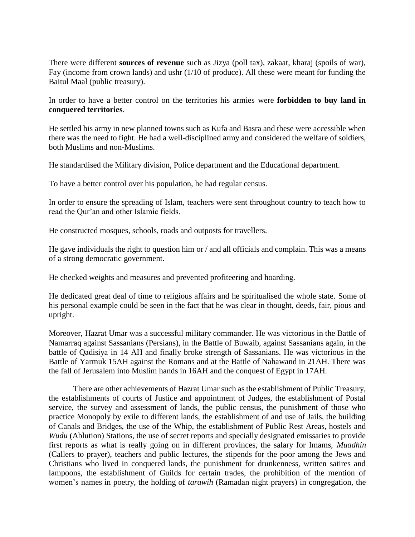There were different **sources of revenue** such as Jizya (poll tax), zakaat, kharaj (spoils of war), Fay (income from crown lands) and ushr (1/10 of produce). All these were meant for funding the Baitul Maal (public treasury).

In order to have a better control on the territories his armies were **forbidden to buy land in conquered territories**.

He settled his army in new planned towns such as Kufa and Basra and these were accessible when there was the need to fight. He had a well-disciplined army and considered the welfare of soldiers, both Muslims and non-Muslims.

He standardised the Military division, Police department and the Educational department.

To have a better control over his population, he had regular census.

In order to ensure the spreading of Islam, teachers were sent throughout country to teach how to read the Qur'an and other Islamic fields.

He constructed mosques, schools, roads and outposts for travellers.

He gave individuals the right to question him or / and all officials and complain. This was a means of a strong democratic government.

He checked weights and measures and prevented profiteering and hoarding.

He dedicated great deal of time to religious affairs and he spiritualised the whole state. Some of his personal example could be seen in the fact that he was clear in thought, deeds, fair, pious and upright.

Moreover, Hazrat Umar was a successful military commander. He was victorious in the Battle of Namarraq against Sassanians (Persians), in the Battle of Buwaib, against Sassanians again, in the battle of Qadisiya in 14 AH and finally broke strength of Sassanians. He was victorious in the Battle of Yarmuk 15AH against the Romans and at the Battle of Nahawand in 21AH. There was the fall of Jerusalem into Muslim hands in 16AH and the conquest of Egypt in 17AH.

There are other achievements of Hazrat Umar such as the establishment of Public Treasury, the establishments of courts of Justice and appointment of Judges, the establishment of Postal service, the survey and assessment of lands, the public census, the punishment of those who practice Monopoly by exile to different lands, the establishment of and use of Jails, the building of Canals and Bridges, the use of the Whip, the establishment of Public Rest Areas, hostels and *Wudu* (Ablution) Stations, the use of secret reports and specially designated emissaries to provide first reports as what is really going on in different provinces, the salary for Imams, *Muadhin* (Callers to prayer), teachers and public lectures, the stipends for the poor among the Jews and Christians who lived in conquered lands, the punishment for drunkenness, written satires and lampoons, the establishment of Guilds for certain trades, the prohibition of the mention of women's names in poetry, the holding of *tarawih* (Ramadan night prayers) in congregation, the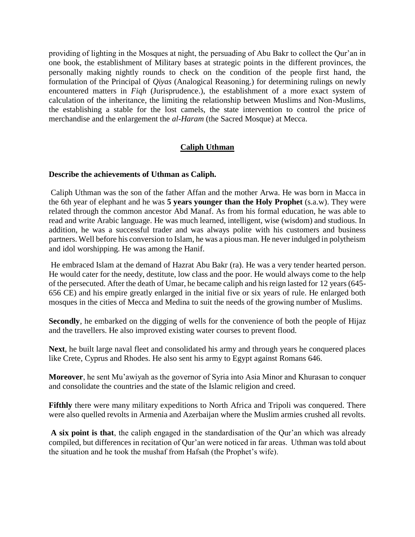providing of lighting in the Mosques at night, the persuading of Abu Bakr to collect the Qur'an in one book, the establishment of Military bases at strategic points in the different provinces, the personally making nightly rounds to check on the condition of the people first hand, the formulation of the Principal of *Qiyas* (Analogical Reasoning.) for determining rulings on newly encountered matters in *Fiqh* (Jurisprudence.), the establishment of a more exact system of calculation of the inheritance, the limiting the relationship between Muslims and Non-Muslims, the establishing a stable for the lost camels, the state intervention to control the price of merchandise and the enlargement the *al-Haram* (the Sacred Mosque) at Mecca.

## **Caliph Uthman**

### **Describe the achievements of Uthman as Caliph.**

Caliph Uthman was the son of the father Affan and the mother Arwa. He was born in Macca in the 6th year of elephant and he was **5 years younger than the Holy Prophet** (s.a.w). They were related through the common ancestor Abd Manaf. As from his formal education, he was able to read and write Arabic language. He was much learned, intelligent, wise (wisdom) and studious. In addition, he was a successful trader and was always polite with his customers and business partners. Well before his conversion to Islam, he was a pious man. He never indulged in polytheism and idol worshipping. He was among the Hanif.

He embraced Islam at the demand of Hazrat Abu Bakr (ra). He was a very tender hearted person. He would cater for the needy, destitute, low class and the poor. He would always come to the help of the persecuted. After the death of Umar, he became caliph and his reign lasted for 12 years (645- 656 CE) and his empire greatly enlarged in the initial five or six years of rule. He enlarged both mosques in the cities of Mecca and Medina to suit the needs of the growing number of Muslims.

**Secondly**, he embarked on the digging of wells for the convenience of both the people of Hijaz and the travellers. He also improved existing water courses to prevent flood.

**Next**, he built large naval fleet and consolidated his army and through years he conquered places like Crete, Cyprus and Rhodes. He also sent his army to Egypt against Romans 646.

**Moreover**, he sent Mu'awiyah as the governor of Syria into Asia Minor and Khurasan to conquer and consolidate the countries and the state of the Islamic religion and creed.

**Fifthly** there were many military expeditions to North Africa and Tripoli was conquered. There were also quelled revolts in Armenia and Azerbaijan where the Muslim armies crushed all revolts.

**A six point is that**, the caliph engaged in the standardisation of the Qur'an which was already compiled, but differences in recitation of Qur'an were noticed in far areas. Uthman was told about the situation and he took the mushaf from Hafsah (the Prophet's wife).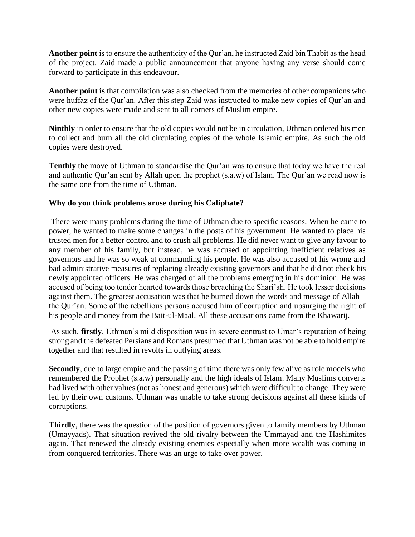**Another point** is to ensure the authenticity of the Qur'an, he instructed Zaid bin Thabit as the head of the project. Zaid made a public announcement that anyone having any verse should come forward to participate in this endeavour.

**Another point is** that compilation was also checked from the memories of other companions who were huffaz of the Qur'an. After this step Zaid was instructed to make new copies of Qur'an and other new copies were made and sent to all corners of Muslim empire.

**Ninthly** in order to ensure that the old copies would not be in circulation, Uthman ordered his men to collect and burn all the old circulating copies of the whole Islamic empire. As such the old copies were destroyed.

**Tenthly** the move of Uthman to standardise the Qur'an was to ensure that today we have the real and authentic Qur'an sent by Allah upon the prophet (s.a.w) of Islam. The Qur'an we read now is the same one from the time of Uthman.

## **Why do you think problems arose during his Caliphate?**

There were many problems during the time of Uthman due to specific reasons. When he came to power, he wanted to make some changes in the posts of his government. He wanted to place his trusted men for a better control and to crush all problems. He did never want to give any favour to any member of his family, but instead, he was accused of appointing inefficient relatives as governors and he was so weak at commanding his people. He was also accused of his wrong and bad administrative measures of replacing already existing governors and that he did not check his newly appointed officers. He was charged of all the problems emerging in his dominion. He was accused of being too tender hearted towards those breaching the Shari'ah. He took lesser decisions against them. The greatest accusation was that he burned down the words and message of Allah – the Qur'an. Some of the rebellious persons accused him of corruption and upsurging the right of his people and money from the Bait-ul-Maal. All these accusations came from the Khawarij.

As such, **firstly**, Uthman's mild disposition was in severe contrast to Umar's reputation of being strong and the defeated Persians and Romans presumed that Uthman was not be able to hold empire together and that resulted in revolts in outlying areas.

**Secondly**, due to large empire and the passing of time there was only few alive as role models who remembered the Prophet (s.a.w) personally and the high ideals of Islam. Many Muslims converts had lived with other values (not as honest and generous) which were difficult to change. They were led by their own customs. Uthman was unable to take strong decisions against all these kinds of corruptions.

**Thirdly**, there was the question of the position of governors given to family members by Uthman (Umayyads). That situation revived the old rivalry between the Ummayad and the Hashimites again. That renewed the already existing enemies especially when more wealth was coming in from conquered territories. There was an urge to take over power.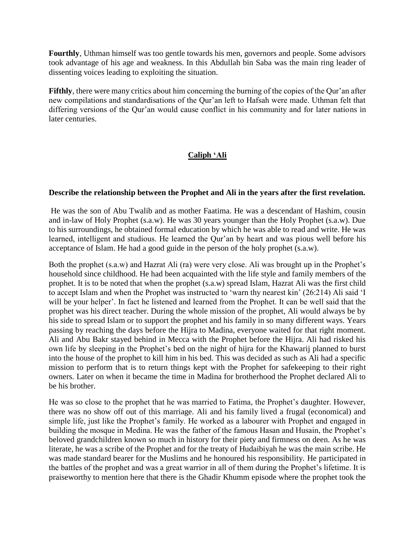**Fourthly**, Uthman himself was too gentle towards his men, governors and people. Some advisors took advantage of his age and weakness. In this Abdullah bin Saba was the main ring leader of dissenting voices leading to exploiting the situation.

**Fifthly**, there were many critics about him concerning the burning of the copies of the Qur'an after new compilations and standardisations of the Qur'an left to Hafsah were made. Uthman felt that differing versions of the Qur'an would cause conflict in his community and for later nations in later centuries.

# **Caliph 'Ali**

### **Describe the relationship between the Prophet and Ali in the years after the first revelation.**

He was the son of Abu Twalib and as mother Faatima. He was a descendant of Hashim, cousin and in-law of Holy Prophet (s.a.w). He was 30 years younger than the Holy Prophet (s.a.w). Due to his surroundings, he obtained formal education by which he was able to read and write. He was learned, intelligent and studious. He learned the Qur'an by heart and was pious well before his acceptance of Islam. He had a good guide in the person of the holy prophet (s.a.w).

Both the prophet (s.a.w) and Hazrat Ali (ra) were very close. Ali was brought up in the Prophet's household since childhood. He had been acquainted with the life style and family members of the prophet. It is to be noted that when the prophet (s.a.w) spread Islam, Hazrat Ali was the first child to accept Islam and when the Prophet was instructed to 'warn thy nearest kin' (26:214) Ali said 'I will be your helper'. In fact he listened and learned from the Prophet. It can be well said that the prophet was his direct teacher. During the whole mission of the prophet, Ali would always be by his side to spread Islam or to support the prophet and his family in so many different ways. Years passing by reaching the days before the Hijra to Madina, everyone waited for that right moment. Ali and Abu Bakr stayed behind in Mecca with the Prophet before the Hijra. Ali had risked his own life by sleeping in the Prophet's bed on the night of hijra for the Khawarij planned to burst into the house of the prophet to kill him in his bed. This was decided as such as Ali had a specific mission to perform that is to return things kept with the Prophet for safekeeping to their right owners. Later on when it became the time in Madina for brotherhood the Prophet declared Ali to be his brother.

He was so close to the prophet that he was married to Fatima, the Prophet's daughter. However, there was no show off out of this marriage. Ali and his family lived a frugal (economical) and simple life, just like the Prophet's family. He worked as a labourer with Prophet and engaged in building the mosque in Medina. He was the father of the famous Hasan and Husain, the Prophet's beloved grandchildren known so much in history for their piety and firmness on deen. As he was literate, he was a scribe of the Prophet and for the treaty of Hudaibiyah he was the main scribe. He was made standard bearer for the Muslims and he honoured his responsibility. He participated in the battles of the prophet and was a great warrior in all of them during the Prophet's lifetime. It is praiseworthy to mention here that there is the Ghadir Khumm episode where the prophet took the